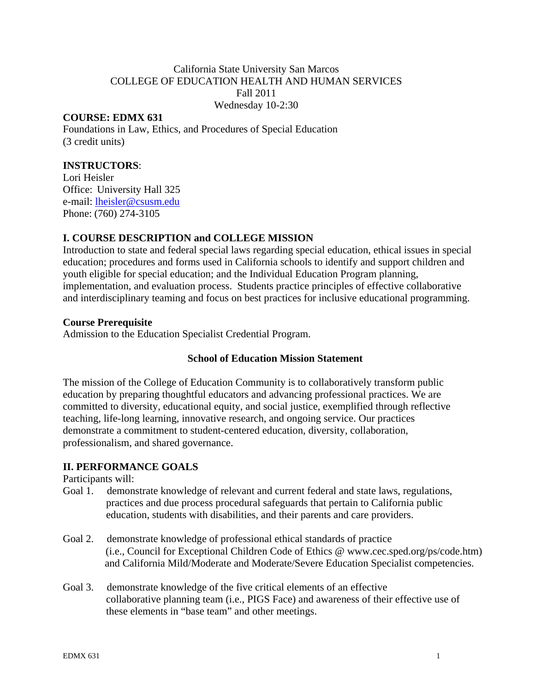# California State University San Marcos COLLEGE OF EDUCATION HEALTH AND HUMAN SERVICES Fall 2011 Wednesday 10-2:30

# **COURSE: EDMX 631**

Foundations in Law, Ethics, and Procedures of Special Education (3 credit units)

# **INSTRUCTORS**:

Office: University Hall 325 Lori Heisler Office: University Hall 325<br>e-mail: <u>lheisler@csusm.edu</u><br>Phone: (760) 274-3105

#### **I. COURSE DESCRIPTION and COLLEGE MISSION**

Introduction to state and federal special laws regarding special education, ethical issues in special education; procedures and forms used in California schools to identify and support children and youth eligible for special education; and the Individual Education Program planning, implementation, and evaluation process. Students practice principles of effective collaborative and interdisciplinary teaming and focus on best practices for inclusive educational programming.

#### **Course Prerequisite**

Admission to the Education Specialist Credential Program.

#### **School of Education Mission Statement**

The mission of the College of Education Community is to collaboratively transform public education by preparing thoughtful educators and advancing professional practices. We are committed to diversity, educational equity, and social justice, exemplified through reflective teaching, life-long learning, innovative research, and ongoing service. Our practices demonstrate a commitment to student-centered education, diversity, collaboration, professionalism, and shared governance.

# **II. PERFORMANCE GOALS**

Participants will:

- Goal 1. demonstrate knowledge of relevant and current federal and state laws, regulations, practices and due process procedural safeguards that pertain to California public education, students with disabilities, and their parents and care providers.
- Goal 2. demonstrate knowledge of professional ethical standards of practice (i.e., Council for Exceptional Children Code of Ethics @ www.cec.sped.org/ps/code.htm) and California Mild/Moderate and Moderate/Severe Education Specialist competencies.
- Goal 3. demonstrate knowledge of the five critical elements of an effective collaborative planning team (i.e., PIGS Face) and awareness of their effective use of these elements in "base team" and other meetings.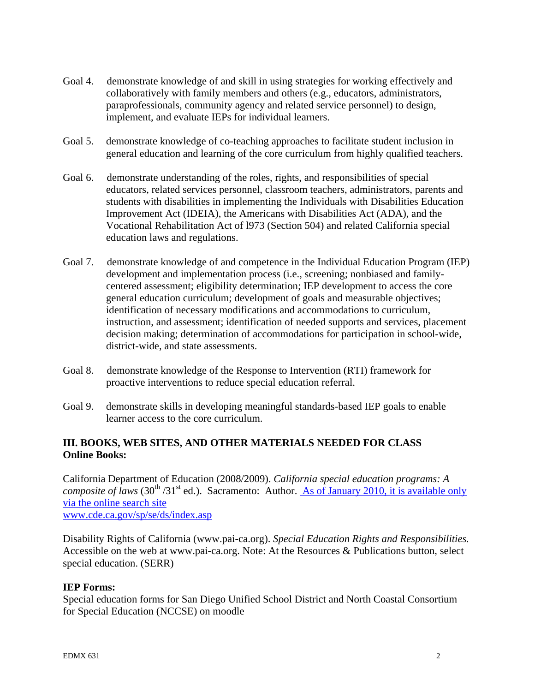- Goal 4. demonstrate knowledge of and skill in using strategies for working effectively and collaboratively with family members and others (e.g., educators, administrators, paraprofessionals, community agency and related service personnel) to design, implement, and evaluate IEPs for individual learners.
- Goal 5. demonstrate knowledge of co-teaching approaches to facilitate student inclusion in general education and learning of the core curriculum from highly qualified teachers.
- Goal 6. demonstrate understanding of the roles, rights, and responsibilities of special educators, related services personnel, classroom teachers, administrators, parents and students with disabilities in implementing the Individuals with Disabilities Education Improvement Act (IDEIA), the Americans with Disabilities Act (ADA), and the Vocational Rehabilitation Act of l973 (Section 504) and related California special education laws and regulations.
- Goal 7. demonstrate knowledge of and competence in the Individual Education Program (IEP) development and implementation process (i.e., screening; nonbiased and familycentered assessment; eligibility determination; IEP development to access the core general education curriculum; development of goals and measurable objectives; identification of necessary modifications and accommodations to curriculum, instruction, and assessment; identification of needed supports and services, placement decision making; determination of accommodations for participation in school-wide, district-wide, and state assessments.
- Goal 8. demonstrate knowledge of the Response to Intervention (RTI) framework for proactive interventions to reduce special education referral.
- Goal 9. demonstrate skills in developing meaningful standards-based IEP goals to enable learner access to the core curriculum.

# **III. BOOKS, WEB SITES, AND OTHER MATERIALS NEEDED FOR CLASS Online Books:**

www.cde.ca.gov/sp/se/ds/index.asp California Department of Education (2008/2009). *California special education programs: A composite of laws*  $(30<sup>th</sup>/31<sup>st</sup>$  ed.). Sacramento: Author. As of January 2010, it is available only via the online search site

Disability Rights of California (www.pai-ca.org). *Special Education Rights and Responsibilities.* Accessible on the web at www.pai-ca.org. Note: At the Resources & Publications button, select special education. (SERR)

# **IEP Forms:**

Special education forms for San Diego Unified School District and North Coastal Consortium for Special Education (NCCSE) on moodle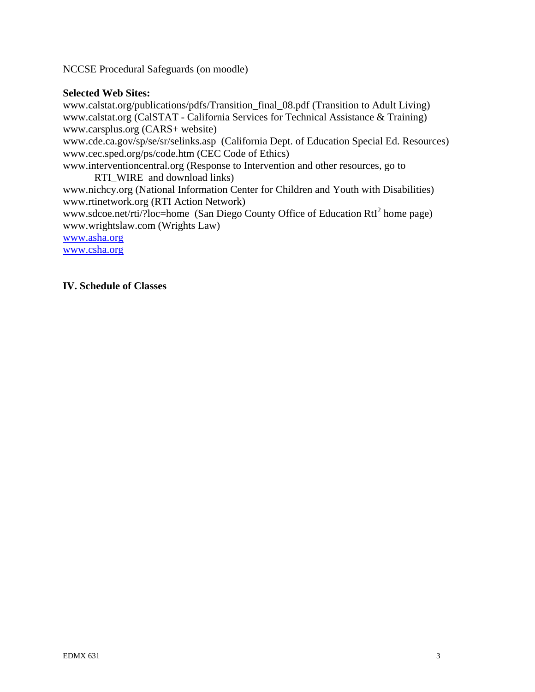NCCSE Procedural Safeguards (on moodle)

#### **Selected Web Sites:**

www.calstat.org/publications/pdfs/Transition\_final\_08.pdf (Transition to Adult Living) www.calstat.org (CalSTAT - California Services for Technical Assistance & Training) www.carsplus.org (CARS+ website) www.cde.ca.gov/sp/se/sr/selinks.asp (California Dept. of Education Special Ed. Resources) www.cec.sped.org/ps/code.htm (CEC Code of Ethics) www.interventioncentral.org (Response to Intervention and other resources, go to RTI\_WIRE and download links) www.nichcy.org (National Information Center for Children and Youth with Disabilities) www.rtinetwork.org (RTI Action Network) www.sdcoe.net/rti/?loc=home (San Diego County Office of Education  $RtI<sup>2</sup>$  home page) www.wrightslaw.com (Wrights Law) www.asha.org

www.csha.org

#### **IV. Schedule of Classes**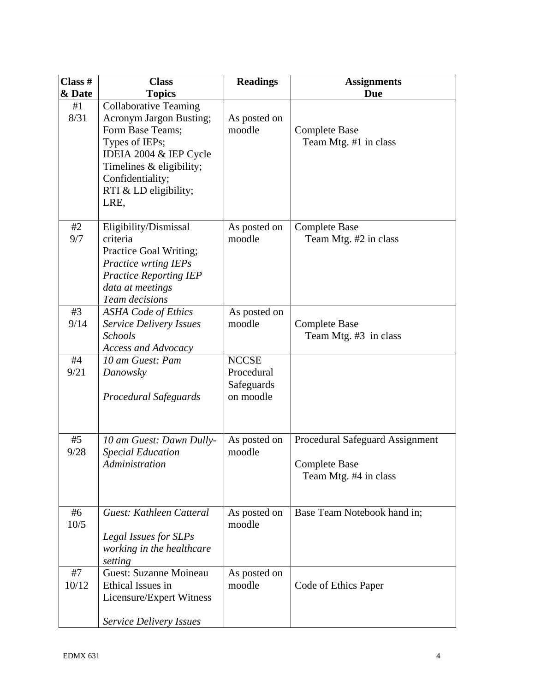| Class #     | <b>Class</b>                                                                                                                                                                                                    | <b>Readings</b>                                       | <b>Assignments</b>                                                               |
|-------------|-----------------------------------------------------------------------------------------------------------------------------------------------------------------------------------------------------------------|-------------------------------------------------------|----------------------------------------------------------------------------------|
| & Date      | <b>Topics</b>                                                                                                                                                                                                   |                                                       | <b>Due</b>                                                                       |
| #1<br>8/31  | <b>Collaborative Teaming</b><br><b>Acronym Jargon Busting;</b><br>Form Base Teams;<br>Types of IEPs;<br>IDEIA 2004 & IEP Cycle<br>Timelines & eligibility;<br>Confidentiality;<br>RTI & LD eligibility;<br>LRE, | As posted on<br>moodle                                | <b>Complete Base</b><br>Team Mtg. #1 in class                                    |
| #2<br>9/7   | Eligibility/Dismissal<br>criteria<br>Practice Goal Writing;<br>Practice wrting IEPs<br><b>Practice Reporting IEP</b><br>data at meetings<br>Team decisions                                                      | As posted on<br>moodle                                | <b>Complete Base</b><br>Team Mtg. #2 in class                                    |
| #3<br>9/14  | <b>ASHA Code of Ethics</b><br><b>Service Delivery Issues</b><br><b>Schools</b><br><b>Access and Advocacy</b>                                                                                                    | As posted on<br>moodle                                | <b>Complete Base</b><br>Team Mtg. #3 in class                                    |
| #4<br>9/21  | 10 am Guest: Pam<br>Danowsky<br>Procedural Safeguards                                                                                                                                                           | <b>NCCSE</b><br>Procedural<br>Safeguards<br>on moodle |                                                                                  |
| #5<br>9/28  | 10 am Guest: Dawn Dully-<br><b>Special Education</b><br>Administration                                                                                                                                          | As posted on<br>moodle                                | Procedural Safeguard Assignment<br><b>Complete Base</b><br>Team Mtg. #4 in class |
| #6<br>10/5  | Guest: Kathleen Catteral<br>Legal Issues for SLPs<br>working in the healthcare<br>setting                                                                                                                       | As posted on<br>moodle                                | Base Team Notebook hand in;                                                      |
| #7<br>10/12 | <b>Guest: Suzanne Moineau</b><br>Ethical Issues in<br>Licensure/Expert Witness<br><b>Service Delivery Issues</b>                                                                                                | As posted on<br>moodle                                | Code of Ethics Paper                                                             |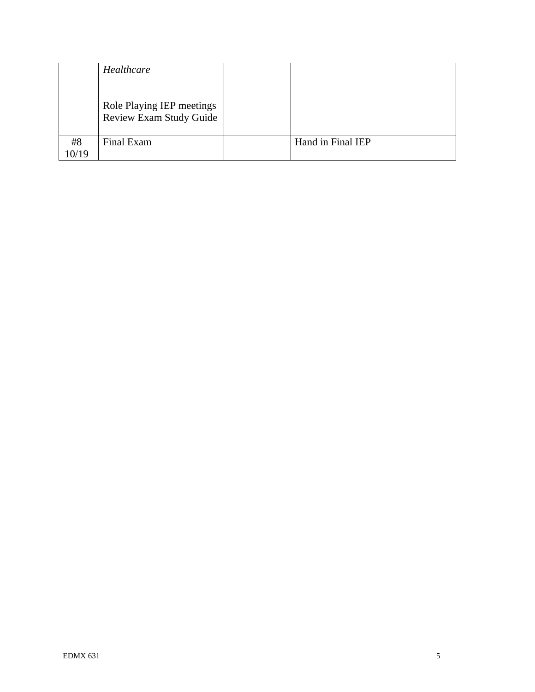|             | Healthcare                                           |                   |
|-------------|------------------------------------------------------|-------------------|
|             | Role Playing IEP meetings<br>Review Exam Study Guide |                   |
| #8<br>10/19 | Final Exam                                           | Hand in Final IEP |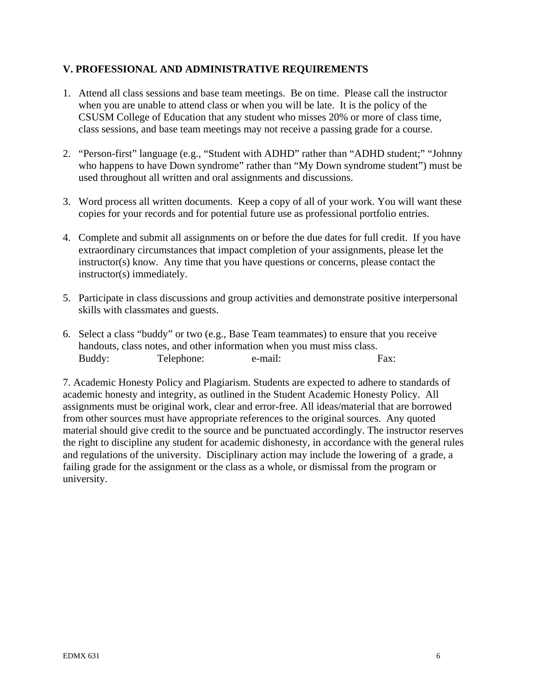# **V. PROFESSIONAL AND ADMINISTRATIVE REQUIREMENTS**

- 1. Attend all class sessions and base team meetings. Be on time. Please call the instructor when you are unable to attend class or when you will be late. It is the policy of the CSUSM College of Education that any student who misses 20% or more of class time, class sessions, and base team meetings may not receive a passing grade for a course.
- 2. "Person-first" language (e.g., "Student with ADHD" rather than "ADHD student;" "Johnny who happens to have Down syndrome" rather than "My Down syndrome student") must be used throughout all written and oral assignments and discussions.
- 3. Word process all written documents. Keep a copy of all of your work. You will want these copies for your records and for potential future use as professional portfolio entries.
- 4. Complete and submit all assignments on or before the due dates for full credit. If you have extraordinary circumstances that impact completion of your assignments, please let the instructor(s) know. Any time that you have questions or concerns, please contact the instructor(s) immediately.
- 5. Participate in class discussions and group activities and demonstrate positive interpersonal skills with classmates and guests.
- 6. Select a class "buddy" or two (e.g., Base Team teammates) to ensure that you receive handouts, class notes, and other information when you must miss class. Buddy: Telephone: e-mail: Fax:

7. Academic Honesty Policy and Plagiarism. Students are expected to adhere to standards of academic honesty and integrity, as outlined in the Student Academic Honesty Policy. All assignments must be original work, clear and error-free. All ideas/material that are borrowed from other sources must have appropriate references to the original sources. Any quoted material should give credit to the source and be punctuated accordingly. The instructor reserves the right to discipline any student for academic dishonesty, in accordance with the general rules and regulations of the university. Disciplinary action may include the lowering of a grade, a failing grade for the assignment or the class as a whole, or dismissal from the program or university.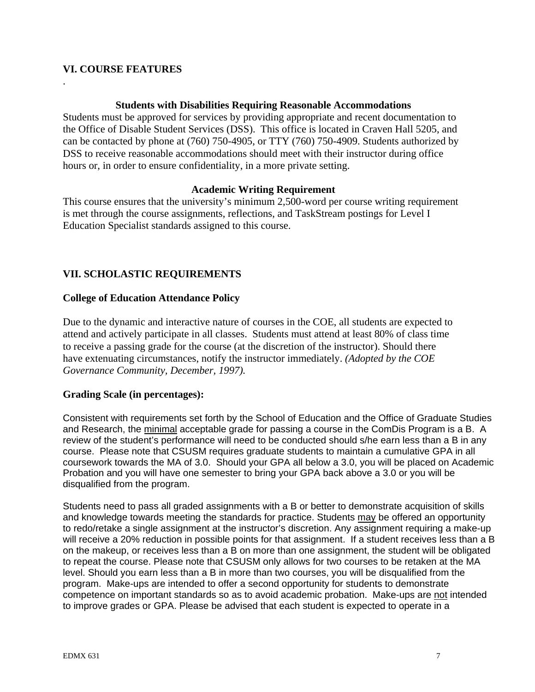# **VI. COURSE FEATURES**

.

#### **Students with Disabilities Requiring Reasonable Accommodations**

Students must be approved for services by providing appropriate and recent documentation to the Office of Disable Student Services (DSS). This office is located in Craven Hall 5205, and can be contacted by phone at (760) 750-4905, or TTY (760) 750-4909. Students authorized by DSS to receive reasonable accommodations should meet with their instructor during office hours or, in order to ensure confidentiality, in a more private setting.

# **Academic Writing Requirement**

This course ensures that the university's minimum 2,500-word per course writing requirement is met through the course assignments, reflections, and TaskStream postings for Level I Education Specialist standards assigned to this course.

# **VII. SCHOLASTIC REQUIREMENTS**

# **College of Education Attendance Policy**

 *Governance Community, December, 1997).* Due to the dynamic and interactive nature of courses in the COE, all students are expected to attend and actively participate in all classes. Students must attend at least 80% of class time to receive a passing grade for the course (at the discretion of the instructor). Should there have extenuating circumstances, notify the instructor immediately. *(Adopted by the COE* 

# **Grading Scale (in percentages):**

Consistent with requirements set forth by the School of Education and the Office of Graduate Studies and Research, the minimal acceptable grade for passing a course in the ComDis Program is a B. A review of the student's performance will need to be conducted should s/he earn less than a B in any course. Please note that CSUSM requires graduate students to maintain a cumulative GPA in all coursework towards the MA of 3.0. Should your GPA all below a 3.0, you will be placed on Academic Probation and you will have one semester to bring your GPA back above a 3.0 or you will be disqualified from the program.

Students need to pass all graded assignments with a B or better to demonstrate acquisition of skills and knowledge towards meeting the standards for practice. Students may be offered an opportunity to redo/retake a single assignment at the instructor's discretion. Any assignment requiring a make-up will receive a 20% reduction in possible points for that assignment. If a student receives less than a B on the makeup, or receives less than a B on more than one assignment, the student will be obligated to repeat the course. Please note that CSUSM only allows for two courses to be retaken at the MA level. Should you earn less than a B in more than two courses, you will be disqualified from the program. Make-ups are intended to offer a second opportunity for students to demonstrate competence on important standards so as to avoid academic probation. Make-ups are not intended to improve grades or GPA. Please be advised that each student is expected to operate in a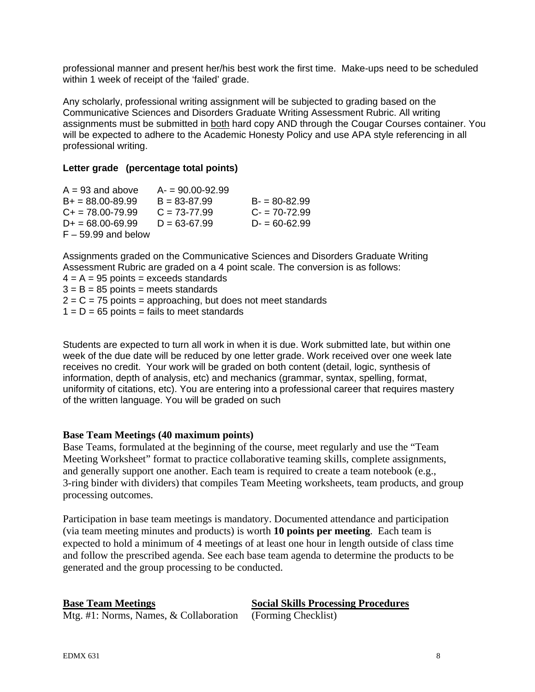professional manner and present her/his best work the first time. Make-ups need to be scheduled within 1 week of receipt of the 'failed' grade.

Any scholarly, professional writing assignment will be subjected to grading based on the Communicative Sciences and Disorders Graduate Writing Assessment Rubric. All writing assignments must be submitted in both hard copy AND through the Cougar Courses container. You will be expected to adhere to the Academic Honesty Policy and use APA style referencing in all professional writing.

#### **Letter grade (percentage total points)**

| $A = 93$ and above         | $A = 90.00 - 92.99$ |                  |
|----------------------------|---------------------|------------------|
| $B+ = 88.00 - 89.99$       | $B = 83 - 87.99$    | $B = 80 - 82.99$ |
| $C_{\rm{+}}$ = 78.00-79.99 | $C = 73 - 77.99$    | $C = 70 - 72.99$ |
| $D+ = 68.00 - 69.99$       | $D = 63 - 67.99$    | $D = 60 - 62.99$ |
| $F - 59.99$ and below      |                     |                  |

Assignments graded on the Communicative Sciences and Disorders Graduate Writing Assessment Rubric are graded on a 4 point scale. The conversion is as follows:  $4 = A = 95$  points = exceeds standards  $3 = B = 85$  points = meets standards  $2 = C = 75$  points = approaching, but does not meet standards  $1 = D = 65$  points = fails to meet standards

Students are expected to turn all work in when it is due. Work submitted late, but within one week of the due date will be reduced by one letter grade. Work received over one week late receives no credit. Your work will be graded on both content (detail, logic, synthesis of information, depth of analysis, etc) and mechanics (grammar, syntax, spelling, format, uniformity of citations, etc). You are entering into a professional career that requires mastery of the written language. You will be graded on such

# **Base Team Meetings (40 maximum points)**

Base Teams, formulated at the beginning of the course, meet regularly and use the "Team Meeting Worksheet" format to practice collaborative teaming skills, complete assignments, and generally support one another. Each team is required to create a team notebook (e.g., 3-ring binder with dividers) that compiles Team Meeting worksheets, team products, and group processing outcomes.

Participation in base team meetings is mandatory. Documented attendance and participation (via team meeting minutes and products) is worth **10 points per meeting**. Each team is expected to hold a minimum of 4 meetings of at least one hour in length outside of class time and follow the prescribed agenda. See each base team agenda to determine the products to be generated and the group processing to be conducted.

#### **Base Team Meetings**

# **Social Skills Processing Procedures**

Mtg. #1: Norms, Names, & Collaboration (Forming Checklist)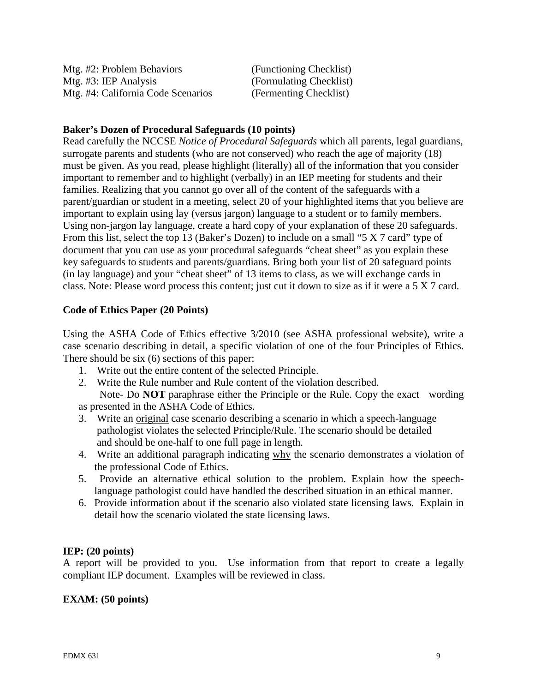| Mtg. #2: Problem Behaviors         | (Functioning Checklist) |
|------------------------------------|-------------------------|
| Mtg. #3: IEP Analysis              | (Formulating Checklist) |
| Mtg. #4: California Code Scenarios | (Fermenting Checklist)  |

#### **Baker's Dozen of Procedural Safeguards (10 points)**

Read carefully the NCCSE *Notice of Procedural Safeguards* which all parents, legal guardians, surrogate parents and students (who are not conserved) who reach the age of majority (18) must be given. As you read, please highlight (literally) all of the information that you consider important to remember and to highlight (verbally) in an IEP meeting for students and their families. Realizing that you cannot go over all of the content of the safeguards with a parent/guardian or student in a meeting, select 20 of your highlighted items that you believe are important to explain using lay (versus jargon) language to a student or to family members. Using non-jargon lay language, create a hard copy of your explanation of these 20 safeguards. From this list, select the top 13 (Baker's Dozen) to include on a small "5 X 7 card" type of document that you can use as your procedural safeguards "cheat sheet" as you explain these key safeguards to students and parents/guardians. Bring both your list of 20 safeguard points (in lay language) and your "cheat sheet" of 13 items to class, as we will exchange cards in class. Note: Please word process this content; just cut it down to size as if it were a 5 X 7 card.

# **Code of Ethics Paper (20 Points)**

Using the ASHA Code of Ethics effective 3/2010 (see ASHA professional website), write a case scenario describing in detail, a specific violation of one of the four Principles of Ethics. There should be six (6) sections of this paper:

- 1. Write out the entire content of the selected Principle.
- 2. Write the Rule number and Rule content of the violation described.

 Note- Do **NOT** paraphrase either the Principle or the Rule. Copy the exact wording as presented in the ASHA Code of Ethics.

- 3. Write an original case scenario describing a scenario in which a speech-language pathologist violates the selected Principle/Rule. The scenario should be detailed and should be one-half to one full page in length.
- 4. Write an additional paragraph indicating why the scenario demonstrates a violation of the professional Code of Ethics.
- 5. Provide an alternative ethical solution to the problem. Explain how the speechlanguage pathologist could have handled the described situation in an ethical manner.
- 6. Provide information about if the scenario also violated state licensing laws. Explain in detail how the scenario violated the state licensing laws.

# **IEP: (20 points)**

A report will be provided to you. Use information from that report to create a legally compliant IEP document. Examples will be reviewed in class.

# **EXAM: (50 points)**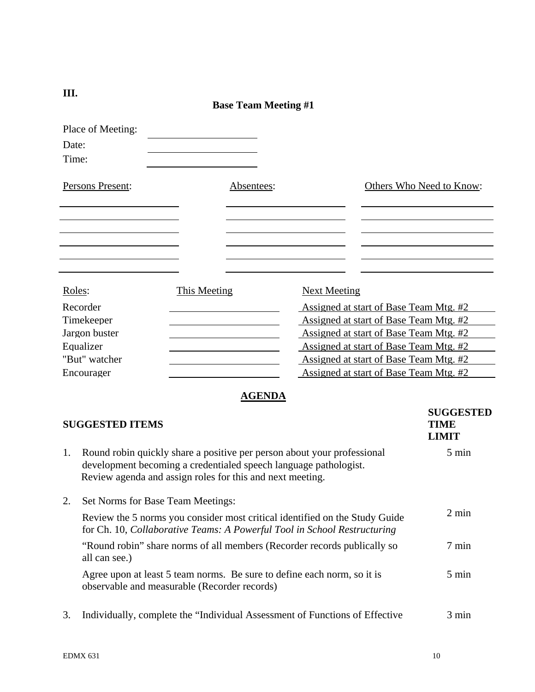| Place of Meeting:<br>Date:<br>Time: |                     |            |                     |                                        |
|-------------------------------------|---------------------|------------|---------------------|----------------------------------------|
| Persons Present:                    |                     | Absentees: |                     | Others Who Need to Know:               |
|                                     |                     |            |                     |                                        |
| Roles:                              | <b>This Meeting</b> |            | <b>Next Meeting</b> |                                        |
| Recorder                            |                     |            |                     | Assigned at start of Base Team Mtg. #2 |
| Timekeeper                          |                     |            |                     | Assigned at start of Base Team Mtg. #2 |
| Jargon buster                       |                     |            |                     | Assigned at start of Base Team Mtg. #2 |
| Equalizer                           |                     |            |                     | Assigned at start of Base Team Mtg. #2 |
| "But" watcher                       |                     |            |                     | Assigned at start of Base Team Mtg. #2 |
| Encourager                          |                     |            |                     | Assigned at start of Base Team Mtg. #2 |

# **AGENDA**

|    | <b>SUGGESTED ITEMS</b>                                                                                                                                                                                   | <b>SUGGESTED</b><br><b>TIME</b><br><b>LIMIT</b> |
|----|----------------------------------------------------------------------------------------------------------------------------------------------------------------------------------------------------------|-------------------------------------------------|
| 1. | Round robin quickly share a positive per person about your professional<br>development becoming a credentialed speech language pathologist.<br>Review agenda and assign roles for this and next meeting. | $5 \text{ min}$                                 |
| 2. | Set Norms for Base Team Meetings:                                                                                                                                                                        |                                                 |
|    | Review the 5 norms you consider most critical identified on the Study Guide<br>for Ch. 10, Collaborative Teams: A Powerful Tool in School Restructuring                                                  | $2 \text{ min}$                                 |
|    | "Round robin" share norms of all members (Recorder records publically so<br>all can see.)                                                                                                                | 7 min                                           |
|    | Agree upon at least 5 team norms. Be sure to define each norm, so it is<br>observable and measurable (Recorder records)                                                                                  | 5 min                                           |
| 3. | Individually, complete the "Individual Assessment of Functions of Effective                                                                                                                              | 3 min                                           |

**III.**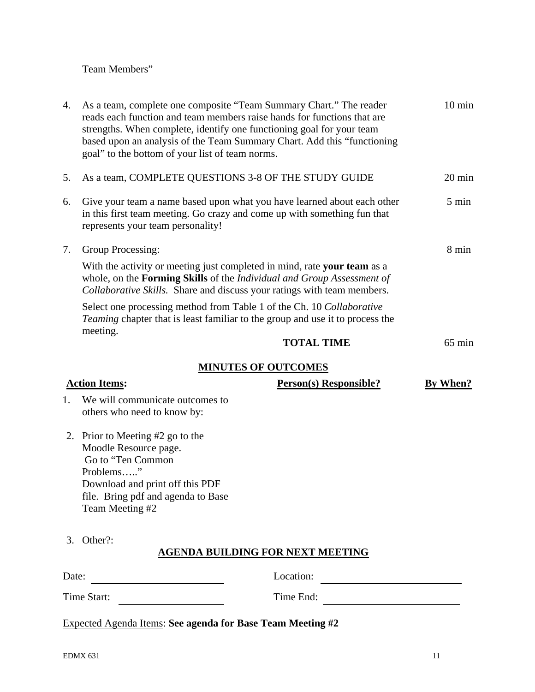# Team Members"

| 4.    | As a team, complete one composite "Team Summary Chart." The reader<br>reads each function and team members raise hands for functions that are<br>strengths. When complete, identify one functioning goal for your team<br>based upon an analysis of the Team Summary Chart. Add this "functioning<br>goal" to the bottom of your list of team norms. |                                         | $10 \text{ min}$ |
|-------|------------------------------------------------------------------------------------------------------------------------------------------------------------------------------------------------------------------------------------------------------------------------------------------------------------------------------------------------------|-----------------------------------------|------------------|
| 5.    | As a team, COMPLETE QUESTIONS 3-8 OF THE STUDY GUIDE                                                                                                                                                                                                                                                                                                 |                                         | $20 \text{ min}$ |
| 6.    | Give your team a name based upon what you have learned about each other<br>in this first team meeting. Go crazy and come up with something fun that<br>represents your team personality!                                                                                                                                                             |                                         | $5 \text{ min}$  |
| 7.    | Group Processing:                                                                                                                                                                                                                                                                                                                                    |                                         | 8 min            |
|       | With the activity or meeting just completed in mind, rate your team as a<br>whole, on the Forming Skills of the Individual and Group Assessment of<br>Collaborative Skills. Share and discuss your ratings with team members.                                                                                                                        |                                         |                  |
|       | Select one processing method from Table 1 of the Ch. 10 Collaborative<br><i>Teaming</i> chapter that is least familiar to the group and use it to process the                                                                                                                                                                                        |                                         |                  |
|       | meeting.                                                                                                                                                                                                                                                                                                                                             | <b>TOTAL TIME</b>                       | $65 \text{ min}$ |
|       |                                                                                                                                                                                                                                                                                                                                                      | <b>MINUTES OF OUTCOMES</b>              |                  |
|       | <b>Action Items:</b>                                                                                                                                                                                                                                                                                                                                 | Person(s) Responsible?                  | By When?         |
| 1.    | We will communicate outcomes to<br>others who need to know by:                                                                                                                                                                                                                                                                                       |                                         |                  |
|       | 2. Prior to Meeting #2 go to the<br>Moodle Resource page.<br>Go to "Ten Common<br>Problems"<br>Download and print off this PDF<br>file. Bring pdf and agenda to Base<br>Team Meeting #2                                                                                                                                                              |                                         |                  |
| 3.    | Other?:                                                                                                                                                                                                                                                                                                                                              | <b>AGENDA BUILDING FOR NEXT MEETING</b> |                  |
| Date: |                                                                                                                                                                                                                                                                                                                                                      | Location:                               |                  |
|       | Time Start:                                                                                                                                                                                                                                                                                                                                          | Time End:                               |                  |
|       | Expected Agenda Items: See agenda for Base Team Meeting #2                                                                                                                                                                                                                                                                                           |                                         |                  |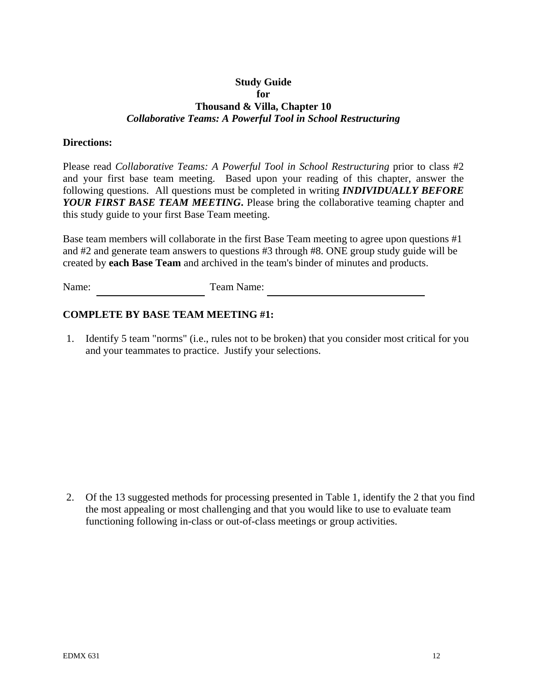# **Study Guide for Thousand & Villa, Chapter 10**  *Collaborative Teams: A Powerful Tool in School Restructuring*

#### **Directions:**

Please read *Collaborative Teams: A Powerful Tool in School Restructuring* prior to class #2 and your first base team meeting. Based upon your reading of this chapter, answer the following questions. All questions must be completed in writing *INDIVIDUALLY BEFORE YOUR FIRST BASE TEAM MEETING***.** Please bring the collaborative teaming chapter and this study guide to your first Base Team meeting.

Base team members will collaborate in the first Base Team meeting to agree upon questions #1 and #2 and generate team answers to questions #3 through #8. ONE group study guide will be created by **each Base Team** and archived in the team's binder of minutes and products.

Name: Team Name:

# **COMPLETE BY BASE TEAM MEETING #1:**

1. Identify 5 team "norms" (i.e., rules not to be broken) that you consider most critical for you and your teammates to practice. Justify your selections.

2. Of the 13 suggested methods for processing presented in Table 1, identify the 2 that you find the most appealing or most challenging and that you would like to use to evaluate team functioning following in-class or out-of-class meetings or group activities.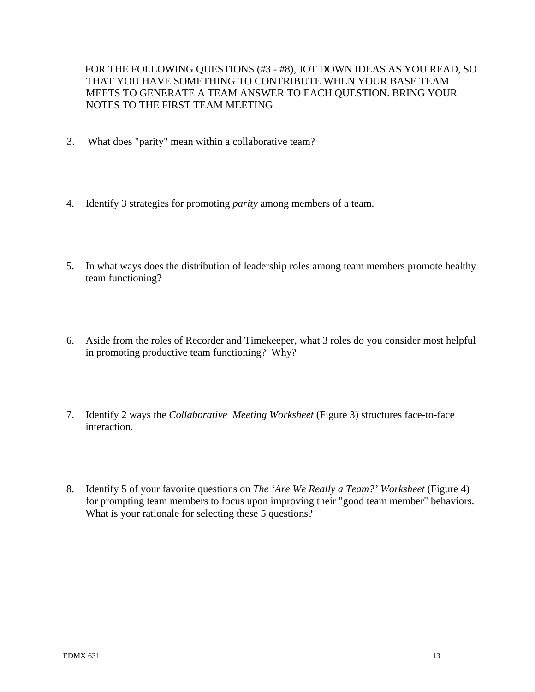FOR THE FOLLOWING QUESTIONS (#3 - #8), JOT DOWN IDEAS AS YOU READ, SO THAT YOU HAVE SOMETHING TO CONTRIBUTE WHEN YOUR BASE TEAM MEETS TO GENERATE A TEAM ANSWER TO EACH QUESTION. BRING YOUR NOTES TO THE FIRST TEAM MEETING

- 3. What does "parity" mean within a collaborative team?
- 4. Identify 3 strategies for promoting *parity* among members of a team.
- 5. In what ways does the distribution of leadership roles among team members promote healthy team functioning?
- 6. Aside from the roles of Recorder and Timekeeper, what 3 roles do you consider most helpful in promoting productive team functioning? Why?
- 7. Identify 2 ways the *Collaborative Meeting Worksheet* (Figure 3) structures face-to-face interaction.
- 8. Identify 5 of your favorite questions on *The 'Are We Really a Team?' Worksheet* (Figure 4) for prompting team members to focus upon improving their "good team member" behaviors. What is your rationale for selecting these 5 questions?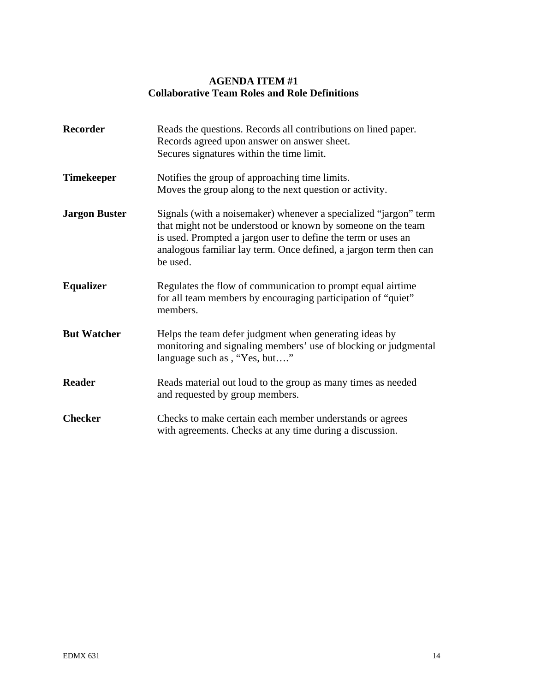# **AGENDA ITEM #1 Collaborative Team Roles and Role Definitions**

| <b>Recorder</b>      | Reads the questions. Records all contributions on lined paper.<br>Records agreed upon answer on answer sheet.<br>Secures signatures within the time limit.                                                                                                                         |
|----------------------|------------------------------------------------------------------------------------------------------------------------------------------------------------------------------------------------------------------------------------------------------------------------------------|
| <b>Timekeeper</b>    | Notifies the group of approaching time limits.<br>Moves the group along to the next question or activity.                                                                                                                                                                          |
| <b>Jargon Buster</b> | Signals (with a noisemaker) whenever a specialized "jargon" term<br>that might not be understood or known by someone on the team<br>is used. Prompted a jargon user to define the term or uses an<br>analogous familiar lay term. Once defined, a jargon term then can<br>be used. |
| <b>Equalizer</b>     | Regulates the flow of communication to prompt equal airtime<br>for all team members by encouraging participation of "quiet"<br>members.                                                                                                                                            |
| <b>But Watcher</b>   | Helps the team defer judgment when generating ideas by<br>monitoring and signaling members' use of blocking or judgmental<br>language such as, "Yes, but"                                                                                                                          |
| <b>Reader</b>        | Reads material out loud to the group as many times as needed<br>and requested by group members.                                                                                                                                                                                    |
| <b>Checker</b>       | Checks to make certain each member understands or agrees<br>with agreements. Checks at any time during a discussion.                                                                                                                                                               |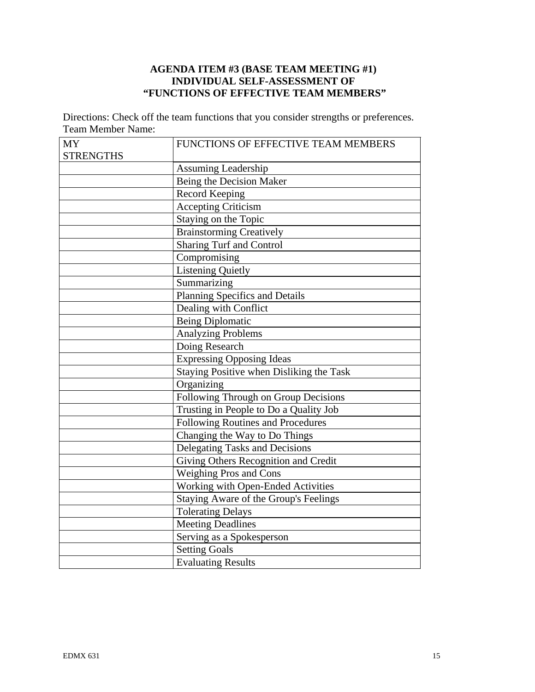# **AGENDA ITEM #3 (BASE TEAM MEETING #1) INDIVIDUAL SELF-ASSESSMENT OF "FUNCTIONS OF EFFECTIVE TEAM MEMBERS"**

Directions: Check off the team functions that you consider strengths or preferences. Team Member Name:

| <b>MY</b>        | FUNCTIONS OF EFFECTIVE TEAM MEMBERS      |
|------------------|------------------------------------------|
| <b>STRENGTHS</b> |                                          |
|                  | Assuming Leadership                      |
|                  | Being the Decision Maker                 |
|                  | <b>Record Keeping</b>                    |
|                  | <b>Accepting Criticism</b>               |
|                  | Staying on the Topic                     |
|                  | <b>Brainstorming Creatively</b>          |
|                  | <b>Sharing Turf and Control</b>          |
|                  | Compromising                             |
|                  | <b>Listening Quietly</b>                 |
|                  | Summarizing                              |
|                  | Planning Specifics and Details           |
|                  | Dealing with Conflict                    |
|                  | <b>Being Diplomatic</b>                  |
|                  | <b>Analyzing Problems</b>                |
|                  | Doing Research                           |
|                  | <b>Expressing Opposing Ideas</b>         |
|                  | Staying Positive when Disliking the Task |
|                  | Organizing                               |
|                  | Following Through on Group Decisions     |
|                  | Trusting in People to Do a Quality Job   |
|                  | Following Routines and Procedures        |
|                  | Changing the Way to Do Things            |
|                  | Delegating Tasks and Decisions           |
|                  | Giving Others Recognition and Credit     |
|                  | <b>Weighing Pros and Cons</b>            |
|                  | Working with Open-Ended Activities       |
|                  | Staying Aware of the Group's Feelings    |
|                  | <b>Tolerating Delays</b>                 |
|                  | <b>Meeting Deadlines</b>                 |
|                  | Serving as a Spokesperson                |
|                  | <b>Setting Goals</b>                     |
|                  |                                          |
|                  | <b>Evaluating Results</b>                |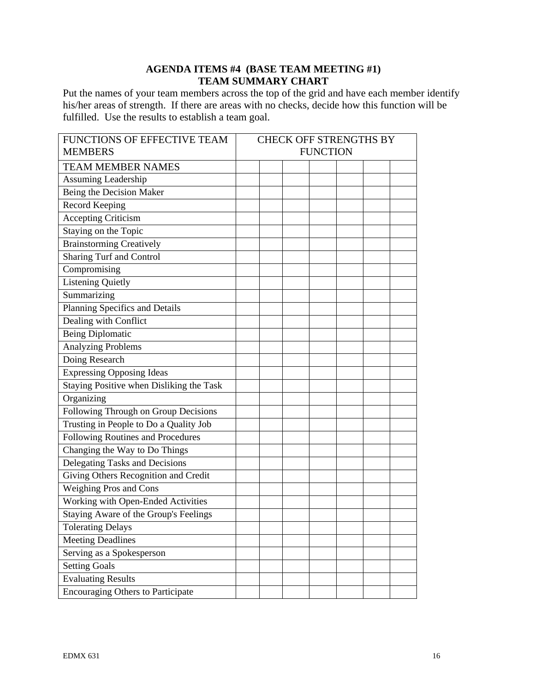# **AGENDA ITEMS #4 (BASE TEAM MEETING #1) TEAM SUMMARY CHART**

Put the names of your team members across the top of the grid and have each member identify his/her areas of strength. If there are areas with no checks, decide how this function will be fulfilled. Use the results to establish a team goal.

| FUNCTIONS OF EFFECTIVE TEAM              | CHECK OFF STRENGTHS BY |  |  |  |
|------------------------------------------|------------------------|--|--|--|
| <b>MEMBERS</b>                           | <b>FUNCTION</b>        |  |  |  |
| <b>TEAM MEMBER NAMES</b>                 |                        |  |  |  |
| Assuming Leadership                      |                        |  |  |  |
| Being the Decision Maker                 |                        |  |  |  |
| Record Keeping                           |                        |  |  |  |
| <b>Accepting Criticism</b>               |                        |  |  |  |
| Staying on the Topic                     |                        |  |  |  |
| Brainstorming Creatively                 |                        |  |  |  |
| Sharing Turf and Control                 |                        |  |  |  |
| Compromising                             |                        |  |  |  |
| <b>Listening Quietly</b>                 |                        |  |  |  |
| Summarizing                              |                        |  |  |  |
| Planning Specifics and Details           |                        |  |  |  |
| Dealing with Conflict                    |                        |  |  |  |
| <b>Being Diplomatic</b>                  |                        |  |  |  |
| <b>Analyzing Problems</b>                |                        |  |  |  |
| Doing Research                           |                        |  |  |  |
| <b>Expressing Opposing Ideas</b>         |                        |  |  |  |
| Staying Positive when Disliking the Task |                        |  |  |  |
| Organizing                               |                        |  |  |  |
| Following Through on Group Decisions     |                        |  |  |  |
| Trusting in People to Do a Quality Job   |                        |  |  |  |
| Following Routines and Procedures        |                        |  |  |  |
| Changing the Way to Do Things            |                        |  |  |  |
| Delegating Tasks and Decisions           |                        |  |  |  |
| Giving Others Recognition and Credit     |                        |  |  |  |
| Weighing Pros and Cons                   |                        |  |  |  |
| Working with Open-Ended Activities       |                        |  |  |  |
| Staying Aware of the Group's Feelings    |                        |  |  |  |
| <b>Tolerating Delays</b>                 |                        |  |  |  |
| <b>Meeting Deadlines</b>                 |                        |  |  |  |
| Serving as a Spokesperson                |                        |  |  |  |
| <b>Setting Goals</b>                     |                        |  |  |  |
| <b>Evaluating Results</b>                |                        |  |  |  |
| <b>Encouraging Others to Participate</b> |                        |  |  |  |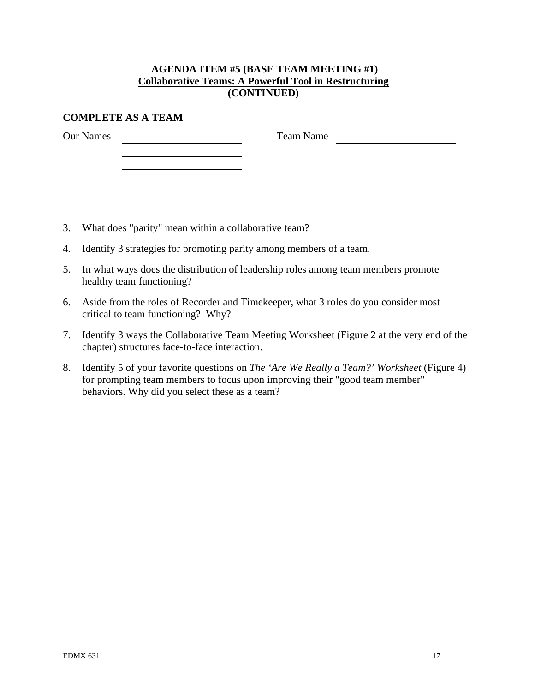# **AGENDA ITEM #5 (BASE TEAM MEETING #1) Collaborative Teams: A Powerful Tool in Restructuring (CONTINUED)**

# **COMPLETE AS A TEAM**

Our Names

Team Name

3. What does "parity" mean within a collaborative team?

<u> 1989 - Johann Barnett, fransk politiker (</u>

- 4. Identify 3 strategies for promoting parity among members of a team.
- 5. In what ways does the distribution of leadership roles among team members promote healthy team functioning?
- 6. Aside from the roles of Recorder and Timekeeper, what 3 roles do you consider most critical to team functioning? Why?
- 7. Identify 3 ways the Collaborative Team Meeting Worksheet (Figure 2 at the very end of the chapter) structures face-to-face interaction.
- 8. Identify 5 of your favorite questions on *The 'Are We Really a Team?' Worksheet* (Figure 4) for prompting team members to focus upon improving their "good team member" behaviors. Why did you select these as a team?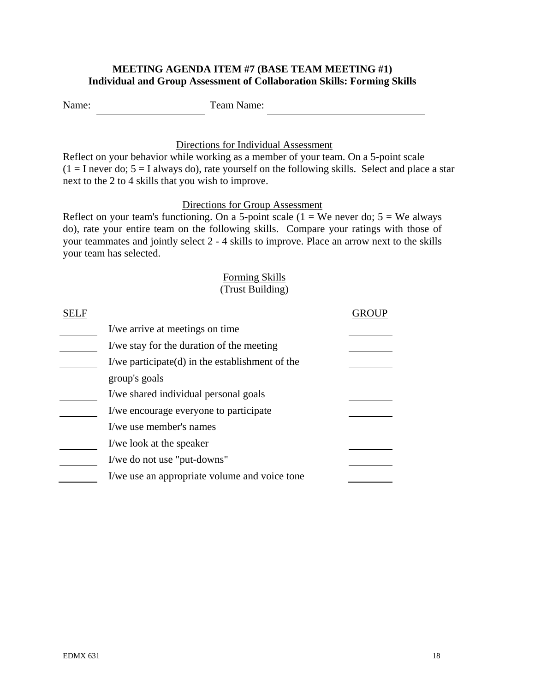# **MEETING AGENDA ITEM #7 (BASE TEAM MEETING #1) Individual and Group Assessment of Collaboration Skills: Forming Skills**

Name: Team Name:

# Directions for Individual Assessment

Reflect on your behavior while working as a member of your team. On a 5-point scale  $(1 = I$  never do;  $5 = I$  always do), rate yourself on the following skills. Select and place a star next to the 2 to 4 skills that you wish to improve.

# Directions for Group Assessment

Reflect on your team's functioning. On a 5-point scale ( $1 =$  We never do;  $5 =$  We always do), rate your entire team on the following skills. Compare your ratings with those of your teammates and jointly select 2 - 4 skills to improve. Place an arrow next to the skills your team has selected.

# Forming Skills (Trust Building)

| I/we arrive at meetings on time.                   |  |
|----------------------------------------------------|--|
| I/we stay for the duration of the meeting          |  |
| I/we participate $(d)$ in the establishment of the |  |
| group's goals                                      |  |
| I/we shared individual personal goals              |  |
| I/we encourage everyone to participate             |  |
| I/we use member's names                            |  |
| I/we look at the speaker                           |  |
| I/we do not use "put-downs"                        |  |
| I/we use an appropriate volume and voice tone      |  |
|                                                    |  |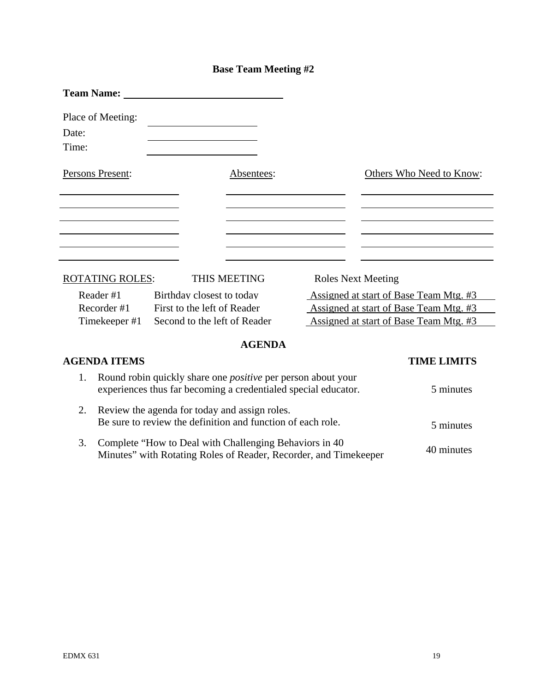# **Base Team Meeting #2**

|       | <b>Team Name:</b>      |                                                                                                                                       |               |                           |                                        |
|-------|------------------------|---------------------------------------------------------------------------------------------------------------------------------------|---------------|---------------------------|----------------------------------------|
|       | Place of Meeting:      |                                                                                                                                       |               |                           |                                        |
| Date: |                        |                                                                                                                                       |               |                           |                                        |
| Time: |                        |                                                                                                                                       |               |                           |                                        |
|       | Persons Present:       |                                                                                                                                       | Absentees:    |                           | Others Who Need to Know:               |
|       |                        |                                                                                                                                       |               |                           |                                        |
|       |                        |                                                                                                                                       |               |                           |                                        |
|       | <b>ROTATING ROLES:</b> |                                                                                                                                       | THIS MEETING  | <b>Roles Next Meeting</b> |                                        |
|       | Reader#1               | Birthday closest to today                                                                                                             |               |                           | Assigned at start of Base Team Mtg. #3 |
|       | Recorder #1            | First to the left of Reader                                                                                                           |               |                           | Assigned at start of Base Team Mtg. #3 |
|       | Timekeeper #1          | Second to the left of Reader                                                                                                          |               |                           | Assigned at start of Base Team Mtg. #3 |
|       |                        |                                                                                                                                       | <b>AGENDA</b> |                           |                                        |
|       | <b>AGENDA ITEMS</b>    |                                                                                                                                       |               |                           | <b>TIME LIMITS</b>                     |
| 1.    |                        | Round robin quickly share one <i>positive</i> per person about your<br>experiences thus far becoming a credentialed special educator. |               |                           | 5 minutes                              |
| 2.    |                        | Review the agenda for today and assign roles.<br>Be sure to review the definition and function of each role.                          |               |                           | 5 minutes                              |
| 3.    |                        | Complete "How to Deal with Challenging Behaviors in 40<br>Minutes" with Rotating Roles of Reader, Recorder, and Timekeeper            |               |                           | 40 minutes                             |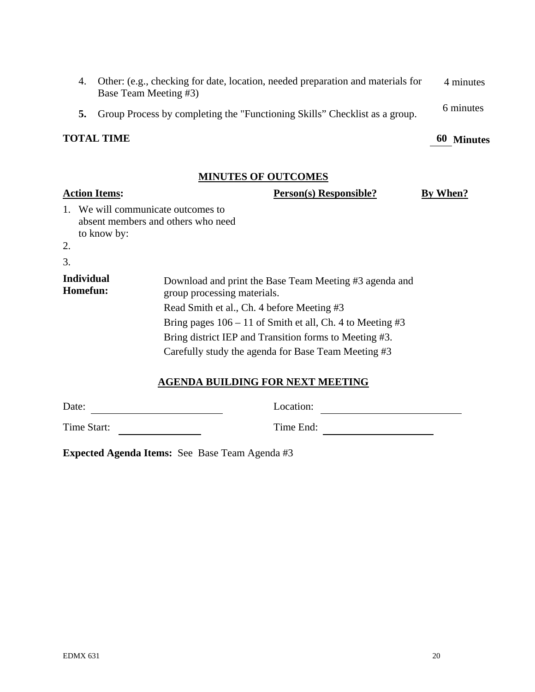| <b>TOTAL TIME</b>                                                                                           | 60 Minutes |
|-------------------------------------------------------------------------------------------------------------|------------|
| 5. Group Process by completing the "Functioning Skills" Checklist as a group.                               | 6 minutes  |
| 4. Other: (e.g., checking for date, location, needed preparation and materials for<br>Base Team Meeting #3) | 4 minutes  |

# **MINUTES OF OUTCOMES**

# **Action Items: Person(s) Responsible? By When?** 1. We will communicate outcomes to absent members and others who need to know by: 2. 3. **Individual Download and print the Base Team Meeting #3 agenda and <b>Homefun: Compare Service Service Compare Service** Service Service Service Service Service Service Service Service Service Service Service Service Se group processing materials. Read Smith et al., Ch. 4 before Meeting #3 Bring pages  $106 - 11$  of Smith et all, Ch. 4 to Meeting #3 Bring district IEP and Transition forms to Meeting #3. Carefully study the agenda for Base Team Meeting #3

# **AGENDA BUILDING FOR NEXT MEETING**

| -----       | ----------- |
|-------------|-------------|
|             |             |
| Time Start: | Time End:   |

**Expected Agenda Items:** See Base Team Agenda #3

Date: Location: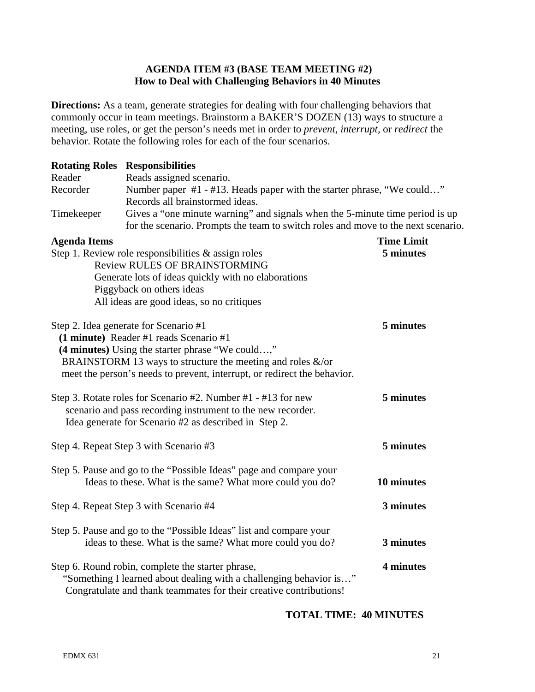# **AGENDA ITEM #3 (BASE TEAM MEETING #2) How to Deal with Challenging Behaviors in 40 Minutes**

**Directions:** As a team, generate strategies for dealing with four challenging behaviors that commonly occur in team meetings. Brainstorm a BAKER'S DOZEN (13) ways to structure a meeting, use roles, or get the person's needs met in order to *prevent, interrupt,* or *redirect* the behavior. Rotate the following roles for each of the four scenarios.

| <b>Rotating Roles</b> | <b>Responsibilities</b>                                                                                                                                                                       |                   |  |  |  |
|-----------------------|-----------------------------------------------------------------------------------------------------------------------------------------------------------------------------------------------|-------------------|--|--|--|
| Reader<br>Recorder    | Reads assigned scenario.<br>Number paper #1 - #13. Heads paper with the starter phrase, "We could"                                                                                            |                   |  |  |  |
|                       | Records all brainstormed ideas.                                                                                                                                                               |                   |  |  |  |
| Timekeeper            | Gives a "one minute warning" and signals when the 5-minute time period is up<br>for the scenario. Prompts the team to switch roles and move to the next scenario.                             |                   |  |  |  |
| <b>Agenda Items</b>   |                                                                                                                                                                                               | <b>Time Limit</b> |  |  |  |
|                       | Step 1. Review role responsibilities $\&$ assign roles<br><b>Review RULES OF BRAINSTORMING</b>                                                                                                | 5 minutes         |  |  |  |
|                       | Generate lots of ideas quickly with no elaborations                                                                                                                                           |                   |  |  |  |
|                       | Piggyback on others ideas                                                                                                                                                                     |                   |  |  |  |
|                       | All ideas are good ideas, so no critiques                                                                                                                                                     |                   |  |  |  |
|                       | Step 2. Idea generate for Scenario #1<br>(1 minute) Reader #1 reads Scenario #1<br>(4 minutes) Using the starter phrase "We could,"                                                           | 5 minutes         |  |  |  |
|                       | BRAINSTORM 13 ways to structure the meeting and roles $\&$ /or<br>meet the person's needs to prevent, interrupt, or redirect the behavior.                                                    |                   |  |  |  |
|                       | Step 3. Rotate roles for Scenario #2. Number #1 - #13 for new<br>scenario and pass recording instrument to the new recorder.<br>Idea generate for Scenario #2 as described in Step 2.         | 5 minutes         |  |  |  |
|                       | Step 4. Repeat Step 3 with Scenario #3                                                                                                                                                        | 5 minutes         |  |  |  |
|                       | Step 5. Pause and go to the "Possible Ideas" page and compare your<br>Ideas to these. What is the same? What more could you do?                                                               | 10 minutes        |  |  |  |
|                       | Step 4. Repeat Step 3 with Scenario #4                                                                                                                                                        | 3 minutes         |  |  |  |
|                       | Step 5. Pause and go to the "Possible Ideas" list and compare your<br>ideas to these. What is the same? What more could you do?                                                               | 3 minutes         |  |  |  |
|                       | Step 6. Round robin, complete the starter phrase,<br>"Something I learned about dealing with a challenging behavior is"<br>Congratulate and thank teammates for their creative contributions! | 4 minutes         |  |  |  |

# **TOTAL TIME: 40 MINUTES**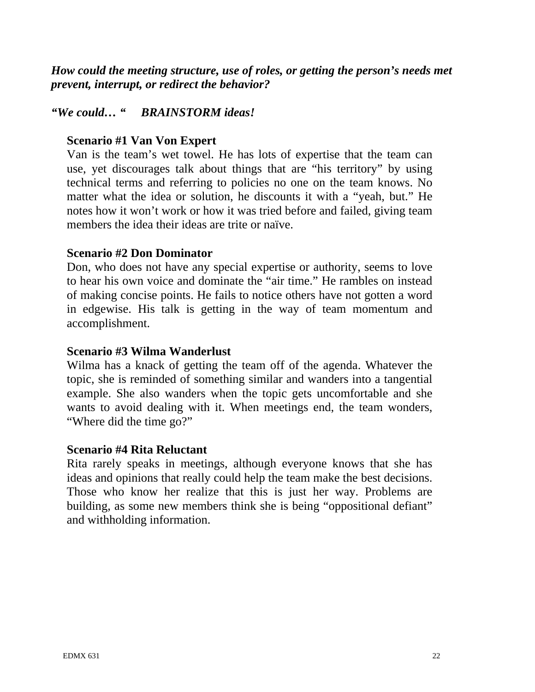*How could the meeting structure, use of roles, or getting the person's needs met prevent, interrupt, or redirect the behavior?* 

# *"We could… " BRAINSTORM ideas!*

# **Scenario #1 Van Von Expert**

Van is the team's wet towel. He has lots of expertise that the team can use, yet discourages talk about things that are "his territory" by using technical terms and referring to policies no one on the team knows. No matter what the idea or solution, he discounts it with a "yeah, but." He notes how it won't work or how it was tried before and failed, giving team members the idea their ideas are trite or naïve.

# **Scenario #2 Don Dominator**

Don, who does not have any special expertise or authority, seems to love to hear his own voice and dominate the "air time." He rambles on instead of making concise points. He fails to notice others have not gotten a word in edgewise. His talk is getting in the way of team momentum and accomplishment.

# **Scenario #3 Wilma Wanderlust**

Wilma has a knack of getting the team off of the agenda. Whatever the topic, she is reminded of something similar and wanders into a tangential example. She also wanders when the topic gets uncomfortable and she wants to avoid dealing with it. When meetings end, the team wonders, "Where did the time go?"

# **Scenario #4 Rita Reluctant**

Rita rarely speaks in meetings, although everyone knows that she has ideas and opinions that really could help the team make the best decisions. Those who know her realize that this is just her way. Problems are building, as some new members think she is being "oppositional defiant" and withholding information.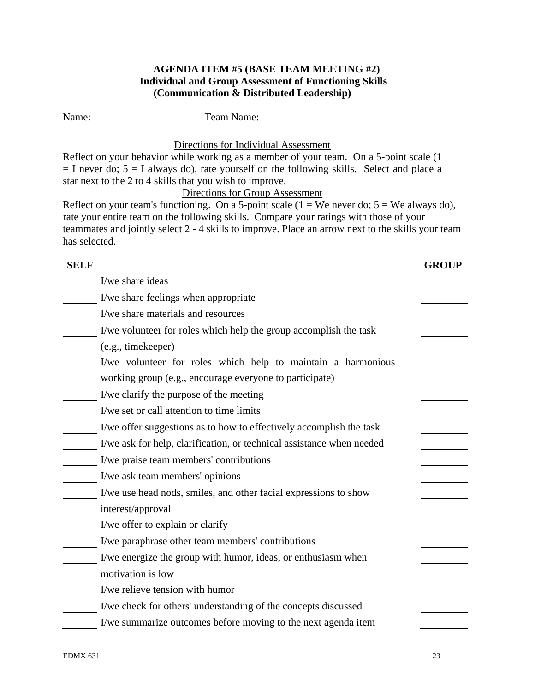# **AGENDA ITEM #5 (BASE TEAM MEETING #2) Individual and Group Assessment of Functioning Skills (Communication & Distributed Leadership)**

| Name:         | Team Name:                                                                                                                                                                                                                                                                                                                                                                                                                        |              |
|---------------|-----------------------------------------------------------------------------------------------------------------------------------------------------------------------------------------------------------------------------------------------------------------------------------------------------------------------------------------------------------------------------------------------------------------------------------|--------------|
|               | Directions for Individual Assessment<br>Reflect on your behavior while working as a member of your team. On a 5-point scale (1)<br>$=$ I never do; $5 =$ I always do), rate yourself on the following skills. Select and place a<br>star next to the 2 to 4 skills that you wish to improve.<br>Directions for Group Assessment<br>Reflect on your team's functioning. On a 5-point scale $(1 = We never do; 5 = We always do)$ , |              |
| has selected. | rate your entire team on the following skills. Compare your ratings with those of your<br>teammates and jointly select 2 - 4 skills to improve. Place an arrow next to the skills your team                                                                                                                                                                                                                                       |              |
| <b>SELF</b>   |                                                                                                                                                                                                                                                                                                                                                                                                                                   | <b>GROUP</b> |
|               | I/we share ideas                                                                                                                                                                                                                                                                                                                                                                                                                  |              |
|               | I/we share feelings when appropriate                                                                                                                                                                                                                                                                                                                                                                                              |              |
|               | I/we share materials and resources                                                                                                                                                                                                                                                                                                                                                                                                |              |
|               | I/we volunteer for roles which help the group accomplish the task                                                                                                                                                                                                                                                                                                                                                                 |              |
|               | (e.g., timekeeper)                                                                                                                                                                                                                                                                                                                                                                                                                |              |
|               | I/we volunteer for roles which help to maintain a harmonious                                                                                                                                                                                                                                                                                                                                                                      |              |
|               | working group (e.g., encourage everyone to participate)                                                                                                                                                                                                                                                                                                                                                                           |              |
|               | I/we clarify the purpose of the meeting                                                                                                                                                                                                                                                                                                                                                                                           |              |
|               | I/we set or call attention to time limits                                                                                                                                                                                                                                                                                                                                                                                         |              |
|               | I/we offer suggestions as to how to effectively accomplish the task                                                                                                                                                                                                                                                                                                                                                               |              |
|               | I/we ask for help, clarification, or technical assistance when needed                                                                                                                                                                                                                                                                                                                                                             |              |
|               | I/we praise team members' contributions                                                                                                                                                                                                                                                                                                                                                                                           |              |
|               | I/we ask team members' opinions                                                                                                                                                                                                                                                                                                                                                                                                   |              |
|               | I/we use head nods, smiles, and other facial expressions to show                                                                                                                                                                                                                                                                                                                                                                  |              |
|               | interest/approval                                                                                                                                                                                                                                                                                                                                                                                                                 |              |
|               | I/we offer to explain or clarify                                                                                                                                                                                                                                                                                                                                                                                                  |              |
|               | I/we paraphrase other team members' contributions                                                                                                                                                                                                                                                                                                                                                                                 |              |
|               | I/we energize the group with humor, ideas, or enthusiasm when                                                                                                                                                                                                                                                                                                                                                                     |              |
|               | motivation is low                                                                                                                                                                                                                                                                                                                                                                                                                 |              |
|               | I/we relieve tension with humor                                                                                                                                                                                                                                                                                                                                                                                                   |              |
|               | I/we check for others' understanding of the concepts discussed                                                                                                                                                                                                                                                                                                                                                                    |              |
|               | I/we summarize outcomes before moving to the next agenda item                                                                                                                                                                                                                                                                                                                                                                     |              |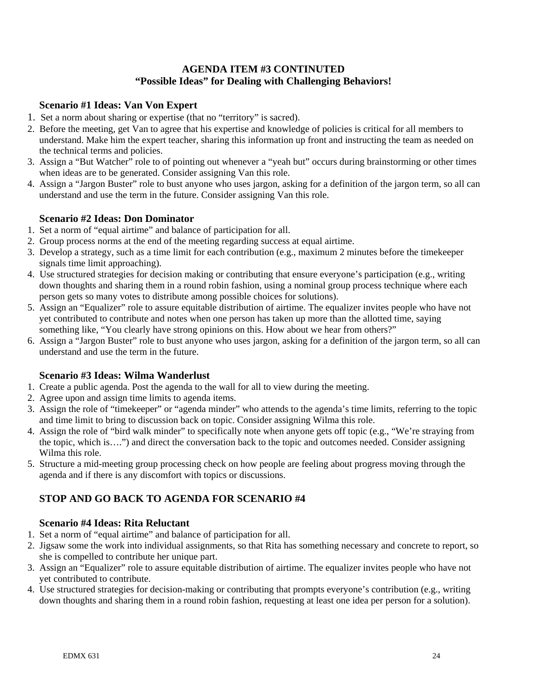# **AGENDA ITEM #3 CONTINUTED "Possible Ideas" for Dealing with Challenging Behaviors!**

# **Scenario #1 Ideas: Van Von Expert**

- 1. Set a norm about sharing or expertise (that no "territory" is sacred).
- 2. Before the meeting, get Van to agree that his expertise and knowledge of policies is critical for all members to understand. Make him the expert teacher, sharing this information up front and instructing the team as needed on the technical terms and policies.
- 3. Assign a "But Watcher" role to of pointing out whenever a "yeah but" occurs during brainstorming or other times when ideas are to be generated. Consider assigning Van this role.
- 4. Assign a "Jargon Buster" role to bust anyone who uses jargon, asking for a definition of the jargon term, so all can understand and use the term in the future. Consider assigning Van this role.

# **Scenario #2 Ideas: Don Dominator**

- 1. Set a norm of "equal airtime" and balance of participation for all.
- 2. Group process norms at the end of the meeting regarding success at equal airtime.
- 3. Develop a strategy, such as a time limit for each contribution (e.g., maximum 2 minutes before the timekeeper signals time limit approaching).
- 4. Use structured strategies for decision making or contributing that ensure everyone's participation (e.g., writing down thoughts and sharing them in a round robin fashion, using a nominal group process technique where each person gets so many votes to distribute among possible choices for solutions).
- 5. Assign an "Equalizer" role to assure equitable distribution of airtime. The equalizer invites people who have not yet contributed to contribute and notes when one person has taken up more than the allotted time, saying something like, "You clearly have strong opinions on this. How about we hear from others?"
- 6. Assign a "Jargon Buster" role to bust anyone who uses jargon, asking for a definition of the jargon term, so all can understand and use the term in the future.

# **Scenario #3 Ideas: Wilma Wanderlust**

- 1. Create a public agenda. Post the agenda to the wall for all to view during the meeting.
- 2. Agree upon and assign time limits to agenda items.
- 3. Assign the role of "timekeeper" or "agenda minder" who attends to the agenda's time limits, referring to the topic and time limit to bring to discussion back on topic. Consider assigning Wilma this role.
- 4. Assign the role of "bird walk minder" to specifically note when anyone gets off topic (e.g., "We're straying from the topic, which is….") and direct the conversation back to the topic and outcomes needed. Consider assigning Wilma this role.
- 5. Structure a mid-meeting group processing check on how people are feeling about progress moving through the agenda and if there is any discomfort with topics or discussions.

# **STOP AND GO BACK TO AGENDA FOR SCENARIO #4**

# **Scenario #4 Ideas: Rita Reluctant**

- 1. Set a norm of "equal airtime" and balance of participation for all.
- 2. Jigsaw some the work into individual assignments, so that Rita has something necessary and concrete to report, so she is compelled to contribute her unique part.
- 3. Assign an "Equalizer" role to assure equitable distribution of airtime. The equalizer invites people who have not yet contributed to contribute.
- 4. Use structured strategies for decision-making or contributing that prompts everyone's contribution (e.g., writing down thoughts and sharing them in a round robin fashion, requesting at least one idea per person for a solution).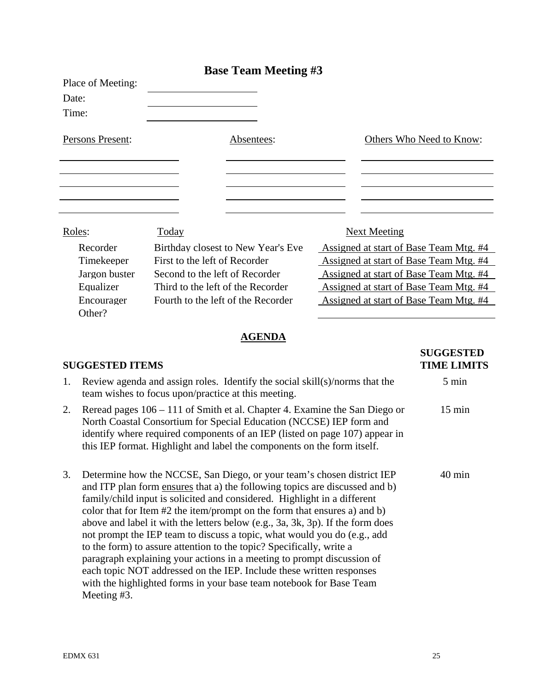|                   |                                    | <b>Base Team Meeting #3</b>        |                                        |
|-------------------|------------------------------------|------------------------------------|----------------------------------------|
| Place of Meeting: |                                    |                                    |                                        |
| Date:             |                                    |                                    |                                        |
| Time:             |                                    |                                    |                                        |
| Persons Present:  |                                    | Absentees:                         | Others Who Need to Know:               |
|                   |                                    |                                    |                                        |
|                   |                                    |                                    |                                        |
|                   |                                    |                                    |                                        |
|                   |                                    |                                    |                                        |
| Roles:            | Today                              |                                    | <b>Next Meeting</b>                    |
| Recorder          |                                    | Birthday closest to New Year's Eve | Assigned at start of Base Team Mtg. #4 |
| Timekeeper        | First to the left of Recorder      |                                    | Assigned at start of Base Team Mtg. #4 |
| Jargon buster     | Second to the left of Recorder     |                                    | Assigned at start of Base Team Mtg. #4 |
| Equalizer         | Third to the left of the Recorder  |                                    | Assigned at start of Base Team Mtg. #4 |
| Encourager        | Fourth to the left of the Recorder |                                    | Assigned at start of Base Team Mtg. #4 |
| Other?            |                                    |                                    |                                        |
|                   |                                    |                                    |                                        |

# **AGENDA**

# **SUGGESTED ITEMS TIME LIMITS**

# 1. Review agenda and assign roles. Identify the social skill(s)/norms that the  $\sim$  5 min team wishes to focus upon/practice at this meeting.

- 2. Reread pages 106 111 of Smith et al. Chapter 4. Examine the San Diego or 15 min North Coastal Consortium for Special Education (NCCSE) IEP form and identify where required components of an IEP (listed on page 107) appear in this IEP format. Highlight and label the components on the form itself.
- 3. Determine how the NCCSE, San Diego, or your team's chosen district IEP 40 min and ITP plan form ensures that a) the following topics are discussed and b) family/child input is solicited and considered. Highlight in a different color that for Item #2 the item/prompt on the form that ensures a) and b) above and label it with the letters below (e.g., 3a, 3k, 3p). If the form does not prompt the IEP team to discuss a topic, what would you do (e.g., add to the form) to assure attention to the topic? Specifically, write a paragraph explaining your actions in a meeting to prompt discussion of each topic NOT addressed on the IEP. Include these written responses with the highlighted forms in your base team notebook for Base Team Meeting #3.

**SUGGESTED**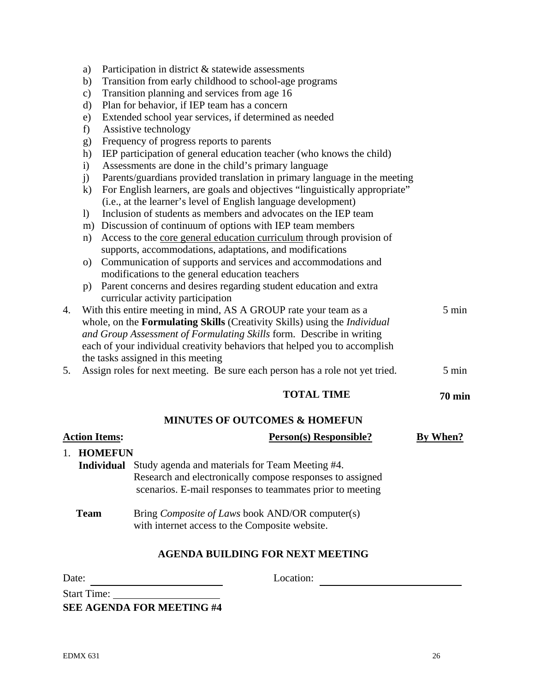- a) Participation in district & statewide assessments
- b) Transition from early childhood to school-age programs
- c) Transition planning and services from age 16
- d) Plan for behavior, if IEP team has a concern
- e) Extended school year services, if determined as needed
- f) Assistive technology
- g) Frequency of progress reports to parents
- h) IEP participation of general education teacher (who knows the child)
- i) Assessments are done in the child's primary language
- j) Parents/guardians provided translation in primary language in the meeting
- k) For English learners, are goals and objectives "linguistically appropriate" (i.e., at the learner's level of English language development)
- l) Inclusion of students as members and advocates on the IEP team
- m) Discussion of continuum of options with IEP team members
- n) Access to the core general education curriculum through provision of supports, accommodations, adaptations, and modifications
- o) Communication of supports and services and accommodations and modifications to the general education teachers
- p) Parent concerns and desires regarding student education and extra curricular activity participation
- 4. With this entire meeting in mind, AS A GROUP rate your team as a 5 min whole, on the **Formulating Skills** (Creativity Skills) using the *Individual and Group Assessment of Formulating Skills* form. Describe in writing each of your individual creativity behaviors that helped you to accomplish the tasks assigned in this meeting
- 5. Assign roles for next meeting. Be sure each person has a role not yet tried. 5 min

# **TOTAL TIME** 70 min

# **MINUTES OF OUTCOMES & HOMEFUN**

| <b>Action Items:</b> | <b>Person(s) Responsible?</b>                                                                                                                                             | By When? |
|----------------------|---------------------------------------------------------------------------------------------------------------------------------------------------------------------------|----------|
| <b>HOMEFUN</b>       |                                                                                                                                                                           |          |
| <b>Individual</b>    | Study agenda and materials for Team Meeting #4.<br>Research and electronically compose responses to assigned<br>scenarios. E-mail responses to teammates prior to meeting |          |
| <b>Team</b>          | Bring <i>Composite of Laws</i> book AND/OR computer(s)<br>with internet access to the Composite website.                                                                  |          |
|                      | <b>AGENDA BUILDING FOR NEXT MEETING</b>                                                                                                                                   |          |

Date: Location:

Start Time:

**SEE AGENDA FOR MEETING #4**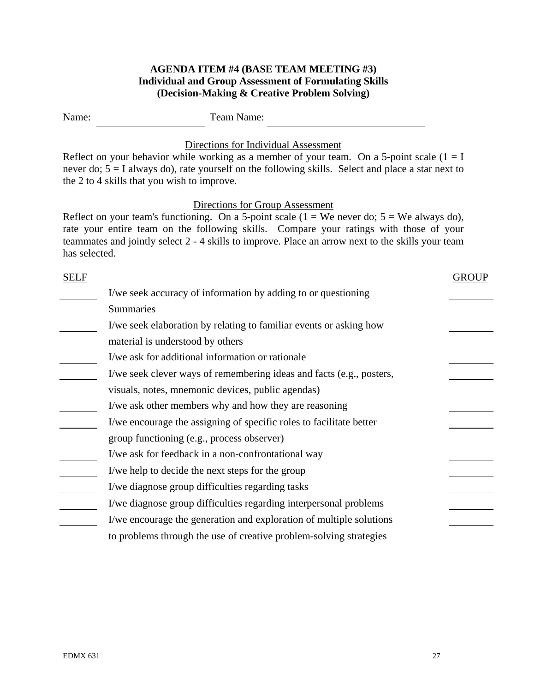# **AGENDA ITEM #4 (BASE TEAM MEETING #3) Individual and Group Assessment of Formulating Skills (Decision-Making & Creative Problem Solving)**

| Name:         | Team Name:                                                                                                                                                                                                                                                                                                                       |
|---------------|----------------------------------------------------------------------------------------------------------------------------------------------------------------------------------------------------------------------------------------------------------------------------------------------------------------------------------|
|               | Directions for Individual Assessment<br>Reflect on your behavior while working as a member of your team. On a 5-point scale $(1 = I$<br>never do; $5 = I$ always do), rate yourself on the following skills. Select and place a star next to<br>the 2 to 4 skills that you wish to improve.                                      |
| has selected. | Directions for Group Assessment<br>Reflect on your team's functioning. On a 5-point scale $(1 = We never do; 5 = We always do)$ ,<br>rate your entire team on the following skills. Compare your ratings with those of your<br>teammates and jointly select 2 - 4 skills to improve. Place an arrow next to the skills your team |
| <b>SELF</b>   | <b>GROUP</b>                                                                                                                                                                                                                                                                                                                     |
|               | I/we seek accuracy of information by adding to or questioning                                                                                                                                                                                                                                                                    |
|               | <b>Summaries</b>                                                                                                                                                                                                                                                                                                                 |
|               | I/we seek elaboration by relating to familiar events or asking how                                                                                                                                                                                                                                                               |
|               | material is understood by others                                                                                                                                                                                                                                                                                                 |
|               | I/we ask for additional information or rationale                                                                                                                                                                                                                                                                                 |
|               | I/we seek clever ways of remembering ideas and facts (e.g., posters,                                                                                                                                                                                                                                                             |
|               | visuals, notes, mnemonic devices, public agendas)                                                                                                                                                                                                                                                                                |
|               | I/we ask other members why and how they are reasoning                                                                                                                                                                                                                                                                            |
|               | I/we encourage the assigning of specific roles to facilitate better                                                                                                                                                                                                                                                              |
|               | group functioning (e.g., process observer)                                                                                                                                                                                                                                                                                       |
|               | I/we ask for feedback in a non-confrontational way                                                                                                                                                                                                                                                                               |
|               | I/we help to decide the next steps for the group                                                                                                                                                                                                                                                                                 |
|               | I/we diagnose group difficulties regarding tasks                                                                                                                                                                                                                                                                                 |
|               | I/we diagnose group difficulties regarding interpersonal problems                                                                                                                                                                                                                                                                |
|               | I/we encourage the generation and exploration of multiple solutions                                                                                                                                                                                                                                                              |
|               | to problems through the use of creative problem-solving strategies                                                                                                                                                                                                                                                               |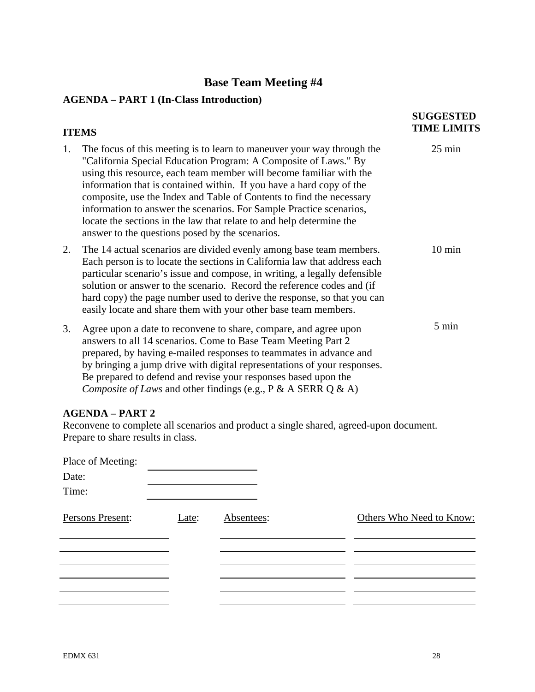# **Base Team Meeting #4**

# **AGENDA – PART 1 (In-Class Introduction)**

|    | <b>ITEMS</b>                                                                                                                                                                                                                                                                                                                                                                                                                                                                                                                                                       | <b>SUGGESTED</b><br><b>TIME LIMITS</b> |
|----|--------------------------------------------------------------------------------------------------------------------------------------------------------------------------------------------------------------------------------------------------------------------------------------------------------------------------------------------------------------------------------------------------------------------------------------------------------------------------------------------------------------------------------------------------------------------|----------------------------------------|
| 1. | The focus of this meeting is to learn to maneuver your way through the<br>"California Special Education Program: A Composite of Laws." By<br>using this resource, each team member will become familiar with the<br>information that is contained within. If you have a hard copy of the<br>composite, use the Index and Table of Contents to find the necessary<br>information to answer the scenarios. For Sample Practice scenarios,<br>locate the sections in the law that relate to and help determine the<br>answer to the questions posed by the scenarios. | $25 \text{ min}$                       |
| 2. | The 14 actual scenarios are divided evenly among base team members.<br>Each person is to locate the sections in California law that address each<br>particular scenario's issue and compose, in writing, a legally defensible<br>solution or answer to the scenario. Record the reference codes and (if<br>hard copy) the page number used to derive the response, so that you can<br>easily locate and share them with your other base team members.                                                                                                              | $10 \text{ min}$                       |
| 3. | Agree upon a date to reconvene to share, compare, and agree upon<br>answers to all 14 scenarios. Come to Base Team Meeting Part 2<br>prepared, by having e-mailed responses to teammates in advance and<br>by bringing a jump drive with digital representations of your responses.<br>Be prepared to defend and revise your responses based upon the<br>Composite of Laws and other findings (e.g., $P \& A$ SERR Q $\& A$ )                                                                                                                                      | 5 min                                  |

# **AGENDA – PART 2**

Reconvene to complete all scenarios and product a single shared, agreed-upon document. Prepare to share results in class.

| Place of Meeting: |       |            |                          |
|-------------------|-------|------------|--------------------------|
| Date:             |       |            |                          |
| Time:             |       |            |                          |
| Persons Present:  | Late: | Absentees: | Others Who Need to Know: |
|                   |       |            |                          |
|                   |       |            |                          |
|                   |       |            |                          |
|                   |       |            |                          |
|                   |       |            |                          |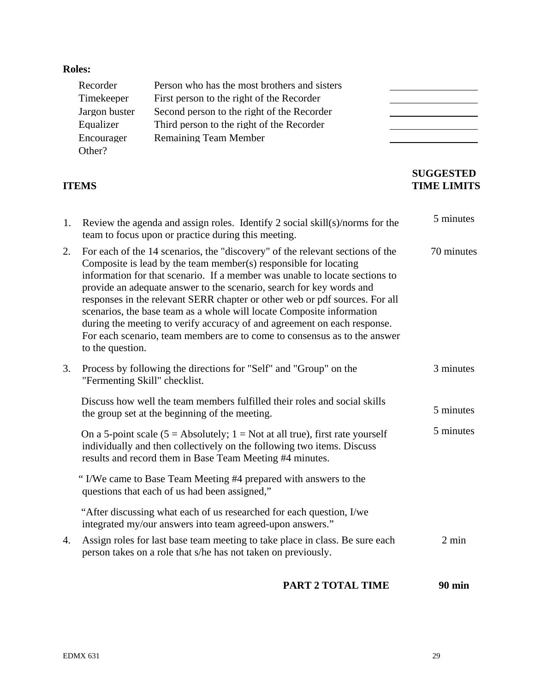# **Roles:**

| Recorder      | Person who has the most brothers and sisters |  |
|---------------|----------------------------------------------|--|
| Timekeeper    | First person to the right of the Recorder    |  |
| Jargon buster | Second person to the right of the Recorder   |  |
| Equalizer     | Third person to the right of the Recorder    |  |
| Encourager    | <b>Remaining Team Member</b>                 |  |
| Other?        |                                              |  |

# **ITEMS**

# **TIME LIMITS**

|    | <b>TTEMS</b>                                                                                                                                                                                                                                                                                                                                                                                                                                                                                                                                                                                                                                      | <b>SUGGESTED</b><br><b>TIME LIMITS</b> |
|----|---------------------------------------------------------------------------------------------------------------------------------------------------------------------------------------------------------------------------------------------------------------------------------------------------------------------------------------------------------------------------------------------------------------------------------------------------------------------------------------------------------------------------------------------------------------------------------------------------------------------------------------------------|----------------------------------------|
| 1. | Review the agenda and assign roles. Identify 2 social skill(s)/norms for the<br>team to focus upon or practice during this meeting.                                                                                                                                                                                                                                                                                                                                                                                                                                                                                                               | 5 minutes                              |
| 2. | For each of the 14 scenarios, the "discovery" of the relevant sections of the<br>Composite is lead by the team member( $s$ ) responsible for locating<br>information for that scenario. If a member was unable to locate sections to<br>provide an adequate answer to the scenario, search for key words and<br>responses in the relevant SERR chapter or other web or pdf sources. For all<br>scenarios, the base team as a whole will locate Composite information<br>during the meeting to verify accuracy of and agreement on each response.<br>For each scenario, team members are to come to consensus as to the answer<br>to the question. | 70 minutes                             |
| 3. | Process by following the directions for "Self" and "Group" on the<br>"Fermenting Skill" checklist.                                                                                                                                                                                                                                                                                                                                                                                                                                                                                                                                                | 3 minutes                              |
|    | Discuss how well the team members fulfilled their roles and social skills<br>the group set at the beginning of the meeting.                                                                                                                                                                                                                                                                                                                                                                                                                                                                                                                       | 5 minutes                              |
|    | On a 5-point scale (5 = Absolutely; $1 = Not$ at all true), first rate yourself<br>individually and then collectively on the following two items. Discuss<br>results and record them in Base Team Meeting #4 minutes.                                                                                                                                                                                                                                                                                                                                                                                                                             | 5 minutes                              |
|    | "I/We came to Base Team Meeting #4 prepared with answers to the<br>questions that each of us had been assigned,"                                                                                                                                                                                                                                                                                                                                                                                                                                                                                                                                  |                                        |
|    | "After discussing what each of us researched for each question, I/we<br>integrated my/our answers into team agreed-upon answers."                                                                                                                                                                                                                                                                                                                                                                                                                                                                                                                 |                                        |
| 4. | Assign roles for last base team meeting to take place in class. Be sure each<br>person takes on a role that s/he has not taken on previously.                                                                                                                                                                                                                                                                                                                                                                                                                                                                                                     | $2 \text{ min}$                        |
|    | <b>PART 2 TOTAL TIME</b>                                                                                                                                                                                                                                                                                                                                                                                                                                                                                                                                                                                                                          | <b>90 min</b>                          |

**PART 2 TOTAL TIME 90 min**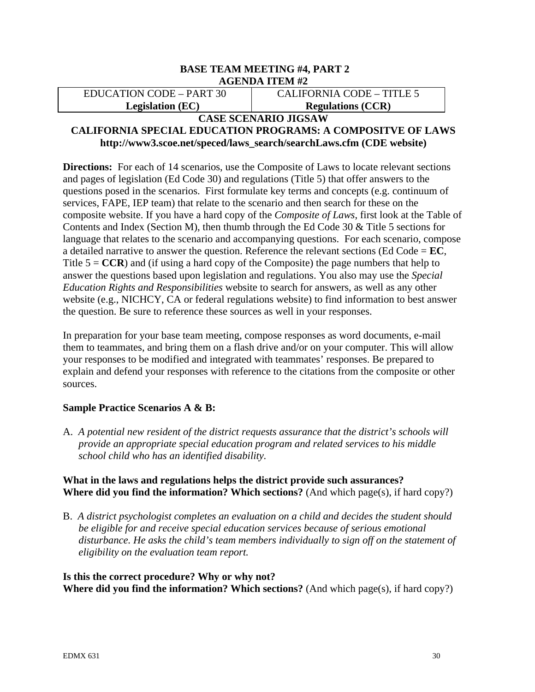#### **BASE TEAM MEETING #4, PART 2 AGENDA ITEM #2**

EDUCATION CODE – PART 30 **Legislation (EC)** 

CALIFORNIA CODE – TITLE 5 **Regulations (CCR)** 

# **CASE SCENARIO JIGSAW**

# **CALIFORNIA SPECIAL EDUCATION PROGRAMS: A COMPOSITVE OF LAWS http://www3.scoe.net/speced/laws\_search/searchLaws.cfm (CDE website)**

**Directions:** For each of 14 scenarios, use the Composite of Laws to locate relevant sections and pages of legislation (Ed Code 30) and regulations (Title 5) that offer answers to the questions posed in the scenarios. First formulate key terms and concepts (e.g. continuum of services, FAPE, IEP team) that relate to the scenario and then search for these on the composite website. If you have a hard copy of the *Composite of Laws*, first look at the Table of Contents and Index (Section M), then thumb through the Ed Code 30 & Title 5 sections for language that relates to the scenario and accompanying questions. For each scenario, compose a detailed narrative to answer the question. Reference the relevant sections (Ed Code  $=$  **EC**, Title  $5 = CCR$ ) and (if using a hard copy of the Composite) the page numbers that help to answer the questions based upon legislation and regulations. You also may use the *Special Education Rights and Responsibilities* website to search for answers, as well as any other website (e.g., NICHCY, CA or federal regulations website) to find information to best answer the question. Be sure to reference these sources as well in your responses.

In preparation for your base team meeting, compose responses as word documents, e-mail them to teammates, and bring them on a flash drive and/or on your computer. This will allow your responses to be modified and integrated with teammates' responses. Be prepared to explain and defend your responses with reference to the citations from the composite or other sources.

# **Sample Practice Scenarios A & B:**

A. *A potential new resident of the district requests assurance that the district's schools will provide an appropriate special education program and related services to his middle school child who has an identified disability.* 

# **What in the laws and regulations helps the district provide such assurances? Where did you find the information? Which sections?** (And which page(s), if hard copy?)

B. *A district psychologist completes an evaluation on a child and decides the student should be eligible for and receive special education services because of serious emotional disturbance. He asks the child's team members individually to sign off on the statement of eligibility on the evaluation team report.* 

# **Is this the correct procedure? Why or why not? Where did you find the information? Which sections?** (And which page(s), if hard copy?)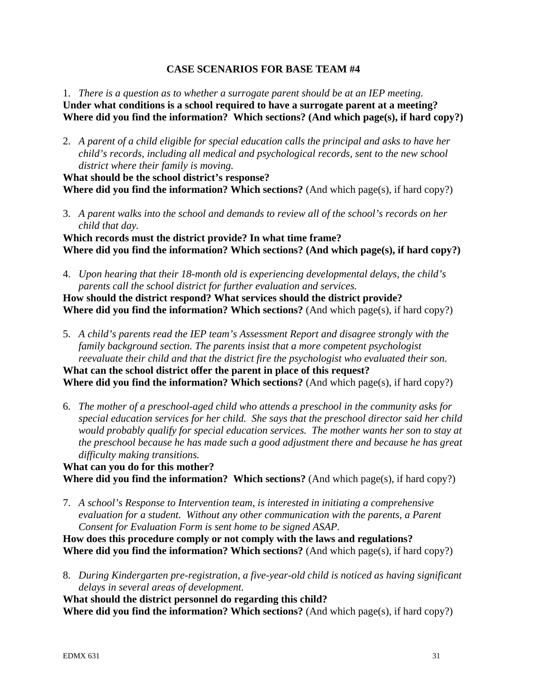# **CASE SCENARIOS FOR BASE TEAM #4**

1. *There is a question as to whether a surrogate parent should be at an IEP meeting.*  **Under what conditions is a school required to have a surrogate parent at a meeting? Where did you find the information? Which sections? (And which page(s), if hard copy?)** 

2. *A parent of a child eligible for special education calls the principal and asks to have her child's records, including all medical and psychological records, sent to the new school district where their family is moving.* 

**What should be the school district's response? Where did you find the information? Which sections?** (And which page(s), if hard copy?)

3. *A parent walks into the school and demands to review all of the school's records on her child that day.* 

**Which records must the district provide? In what time frame? Where did you find the information? Which sections? (And which page(s), if hard copy?)**

4. *Upon hearing that their 18-month old is experiencing developmental delays, the child's parents call the school district for further evaluation and services.* 

**How should the district respond? What services should the district provide? Where did you find the information? Which sections?** (And which page(s), if hard copy?)

5. *A child's parents read the IEP team's Assessment Report and disagree strongly with the family background section. The parents insist that a more competent psychologist reevaluate their child and that the district fire the psychologist who evaluated their son.*  **What can the school district offer the parent in place of this request?** 

**Where did you find the information? Which sections?** (And which page(s), if hard copy?)

6. *The mother of a preschool-aged child who attends a preschool in the community asks for special education services for her child. She says that the preschool director said her child would probably qualify for special education services. The mother wants her son to stay at the preschool because he has made such a good adjustment there and because he has great difficulty making transitions.* 

**What can you do for this mother? Where did you find the information? Which sections?** (And which page(s), if hard copy?)

7. *A school's Response to Intervention team, is interested in initiating a comprehensive evaluation for a student. Without any other communication with the parents, a Parent Consent for Evaluation Form is sent home to be signed ASAP.* 

**How does this procedure comply or not comply with the laws and regulations? Where did you find the information? Which sections?** (And which page(s), if hard copy?)

8. *During Kindergarten pre-registration, a five-year-old child is noticed as having significant delays in several areas of development.* 

**What should the district personnel do regarding this child?** 

**Where did you find the information? Which sections?** (And which page(s), if hard copy?)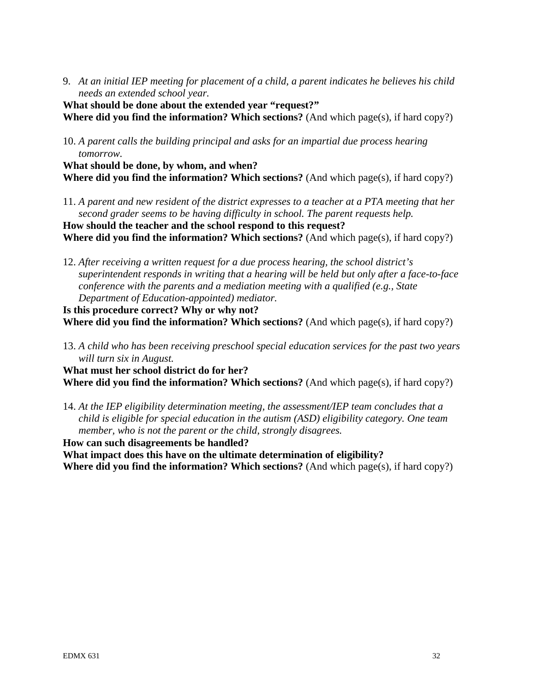9. *At an initial IEP meeting for placement of a child, a parent indicates he believes his child needs an extended school year.* 

**What should be done about the extended year "request?" Where did you find the information? Which sections?** (And which page(s), if hard copy?)

10. *A parent calls the building principal and asks for an impartial due process hearing tomorrow.* 

**What should be done, by whom, and when? Where did you find the information? Which sections?** (And which page(s), if hard copy?)

11. *A parent and new resident of the district expresses to a teacher at a PTA meeting that her second grader seems to be having difficulty in school. The parent requests help.* 

**How should the teacher and the school respond to this request? Where did you find the information? Which sections?** (And which page(s), if hard copy?)

12. *After receiving a written request for a due process hearing, the school district's superintendent responds in writing that a hearing will be held but only after a face-to-face conference with the parents and a mediation meeting with a qualified (e.g., State Department of Education-appointed) mediator.* 

**Is this procedure correct? Why or why not? Where did you find the information? Which sections?** (And which page(s), if hard copy?)

 *will turn six in August.* 13. *A child who has been receiving preschool special education services for the past two years* 

**What must her school district do for her? Where did you find the information? Which sections?** (And which page(s), if hard copy?)

 *member, who is not the parent or the child, strongly disagrees.* 14. *At the IEP eligibility determination meeting, the assessment/IEP team concludes that a child is eligible for special education in the autism (ASD) eligibility category. One team* 

**How can such disagreements be handled? What impact does this have on the ultimate determination of eligibility? Where did you find the information? Which sections?** (And which page(s), if hard copy?)